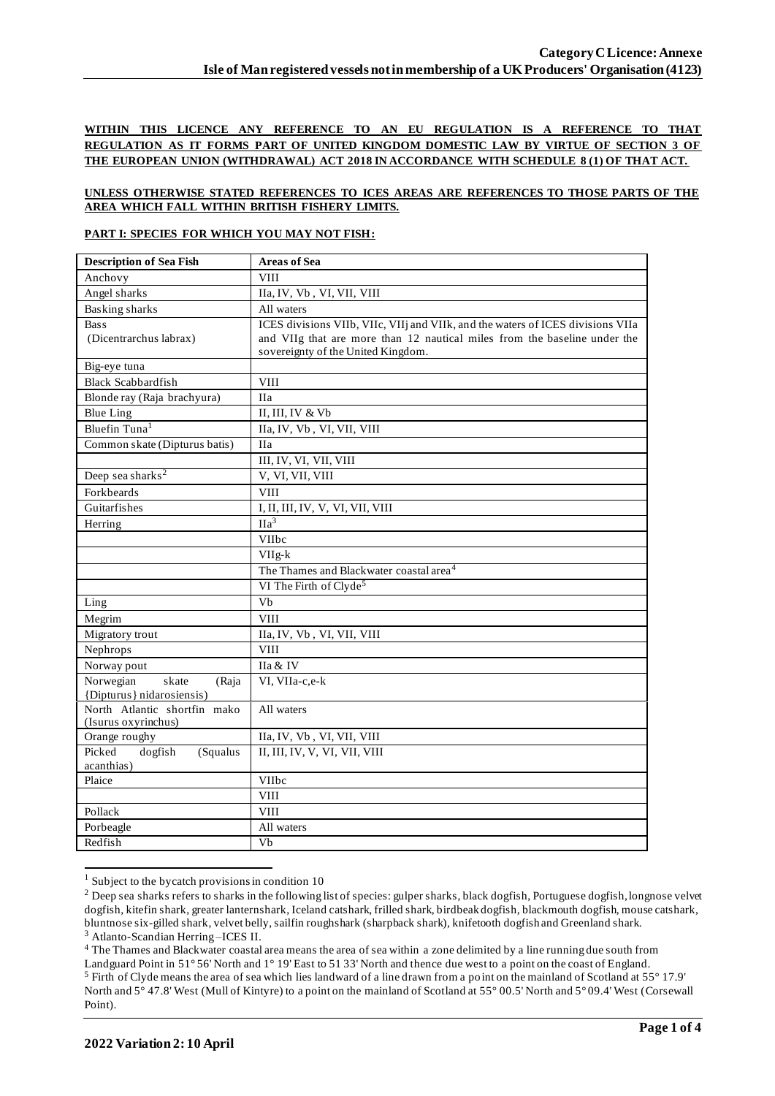## **WITHIN THIS LICENCE ANY REFERENCE TO AN EU REGULATION IS A REFERENCE TO THAT REGULATION AS IT FORMS PART OF UNITED KINGDOM DOMESTIC LAW BY VIRTUE OF SECTION 3 OF THE EUROPEAN UNION (WITHDRAWAL) ACT 2018 IN ACCORDANCE WITH SCHEDULE 8 (1) OF THAT ACT.**

#### **UNLESS OTHERWISE STATED REFERENCES TO ICES AREAS ARE REFERENCES TO THOSE PARTS OF THE AREA WHICH FALL WITHIN BRITISH FISHERY LIMITS.**

### **PART I: SPECIES FOR WHICH YOU MAY NOT FISH:**

| <b>Description of Sea Fish</b>                      | <b>Areas of Sea</b>                                                             |  |  |  |
|-----------------------------------------------------|---------------------------------------------------------------------------------|--|--|--|
| Anchovy                                             | <b>VIII</b>                                                                     |  |  |  |
| Angel sharks                                        | IIa, IV, Vb, VI, VII, VIII                                                      |  |  |  |
| Basking sharks                                      | All waters                                                                      |  |  |  |
| <b>Bass</b>                                         | ICES divisions VIIb, VIIc, VIIj and VIIk, and the waters of ICES divisions VIIa |  |  |  |
| (Dicentrarchus labrax)                              | and VIIg that are more than 12 nautical miles from the baseline under the       |  |  |  |
|                                                     | sovereignty of the United Kingdom.                                              |  |  |  |
| Big-eye tuna                                        |                                                                                 |  |  |  |
| <b>Black Scabbardfish</b>                           | <b>VIII</b>                                                                     |  |  |  |
| Blonde ray (Raja brachyura)                         | <b>IIa</b>                                                                      |  |  |  |
| <b>Blue Ling</b>                                    | II, III, IV $&$ Vb                                                              |  |  |  |
| Bluefin Tuna <sup>1</sup>                           | IIa, IV, Vb, VI, VII, VIII                                                      |  |  |  |
| Common skate (Dipturus batis)                       | <b>IIa</b>                                                                      |  |  |  |
|                                                     | III, IV, VI, VII, VIII                                                          |  |  |  |
| Deep sea sharks <sup>2</sup>                        | V, VI, VII, VIII                                                                |  |  |  |
| Forkbeards                                          | <b>VIII</b>                                                                     |  |  |  |
| Guitarfishes<br>I, II, III, IV, V, VI, VII, VIII    |                                                                                 |  |  |  |
| Herring                                             | $\overline{\text{IIa}^3}$                                                       |  |  |  |
|                                                     | <b>VIIbc</b>                                                                    |  |  |  |
|                                                     | VIIg-k                                                                          |  |  |  |
|                                                     | The Thames and Blackwater coastal area <sup>4</sup>                             |  |  |  |
|                                                     | VI The Firth of Clyde <sup>5</sup>                                              |  |  |  |
| Ling                                                | Vb                                                                              |  |  |  |
| Megrim                                              | <b>VIII</b>                                                                     |  |  |  |
| Migratory trout                                     | IIa, IV, Vb, VI, VII, VIII                                                      |  |  |  |
| Nephrops                                            | <b>VIII</b>                                                                     |  |  |  |
| Norway pout                                         | IIa & IV                                                                        |  |  |  |
| Norwegian<br>skate<br>(Raja                         | VI, VIIa-c,e-k                                                                  |  |  |  |
| {Dipturus} nidarosiensis}                           |                                                                                 |  |  |  |
| North Atlantic shortfin mako<br>(Isurus oxyrinchus) | All waters                                                                      |  |  |  |
| Orange roughy                                       | IIa, IV, Vb, VI, VII, VIII                                                      |  |  |  |
| Picked<br>dogfish<br>(Squalus                       | II, III, IV, V, VI, VII, VIII                                                   |  |  |  |
| acanthias)                                          |                                                                                 |  |  |  |
| Plaice                                              | VIIbc                                                                           |  |  |  |
|                                                     | <b>VIII</b>                                                                     |  |  |  |
| Pollack                                             | <b>VIII</b>                                                                     |  |  |  |
| Porbeagle                                           | All waters                                                                      |  |  |  |
| Redfish                                             | Vb                                                                              |  |  |  |

 $1$  Subject to the bycatch provisions in condition 10

<sup>4</sup> The Thames and Blackwater coastal area means the area of sea within a zone delimited by a line running due south from

<sup>&</sup>lt;sup>2</sup> Deep sea sharks refers to sharks in the following list of species: gulper sharks, black dogfish, Portuguese dogfish, longnose velvet dogfish, kitefin shark, greater lanternshark, Iceland catshark, frilled shark, birdbeak dogfish, blackmouth dogfish, mouse catshark, bluntnose six-gilled shark, velvet belly, sailfin roughshark (sharpback shark), knifetooth dogfish and Greenland shark. <sup>3</sup> Atlanto-Scandian Herring –ICES II.

Landguard Point in 51° 56' North and 1° 19' East to 51 33' North and thence due west to a point on the coast of England. <sup>5</sup> Firth of Clyde means the area of sea which lies landward of a line drawn from a point on the mainland of Scotland at 55° 17.9' North and 5° 47.8' West (Mull of Kintyre) to a point on the mainland of Scotland at 55° 00.5' North and 5° 09.4' West (Corsewall Point).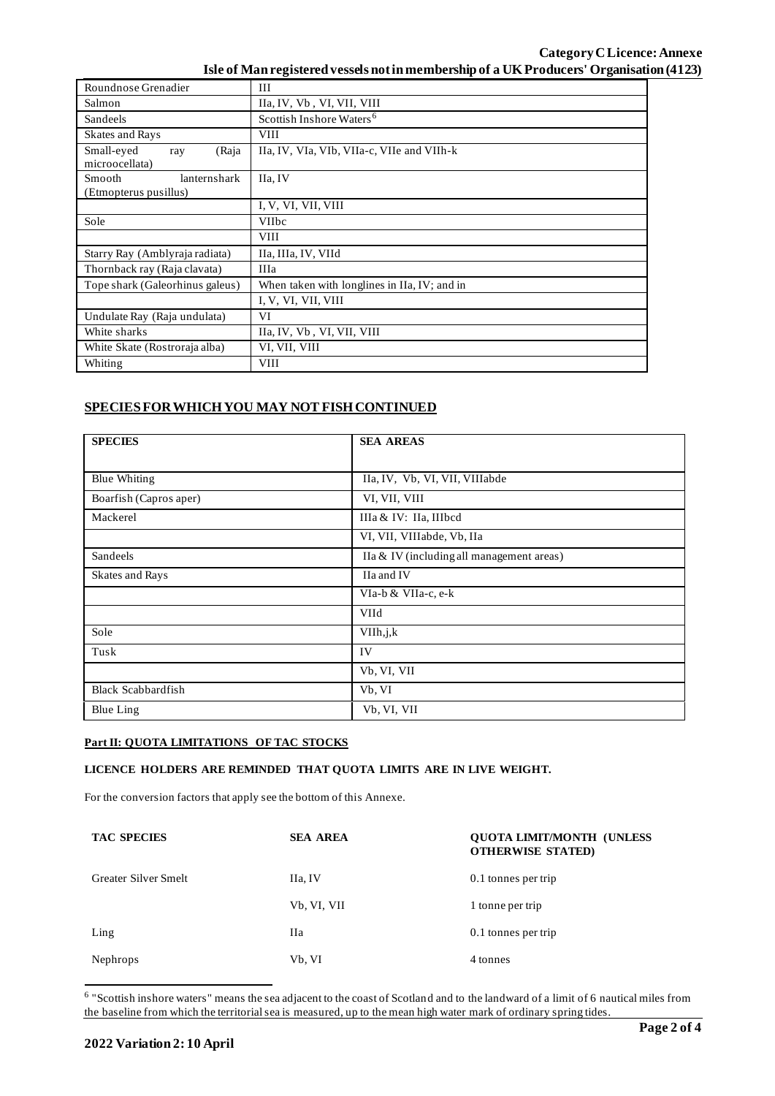# **Category CLicence: Annexe Isle of Man registered vessels not in membership of a UK Producers' Organisation (4123)**

| Roundnose Grenadier                             | III                                          |  |  |  |
|-------------------------------------------------|----------------------------------------------|--|--|--|
| Salmon                                          | IIa, IV, Vb, VI, VII, VIII                   |  |  |  |
| Sandeels                                        | Scottish Inshore Waters <sup>6</sup>         |  |  |  |
| Skates and Rays                                 | <b>VIII</b>                                  |  |  |  |
| Small-eyed<br>(Raja<br>ray<br>microocellata)    | IIa, IV, VIa, VIb, VIIa-c, VIIe and VIIh-k   |  |  |  |
| Smooth<br>lanternshark<br>(Etmopterus pusillus) | IIa, IV                                      |  |  |  |
|                                                 | I, V, VI, VII, VIII                          |  |  |  |
| Sole                                            | <b>VIIbc</b>                                 |  |  |  |
|                                                 | <b>VIII</b>                                  |  |  |  |
| Starry Ray (Amblyraja radiata)                  | IIa, IIIa, IV, VIId                          |  |  |  |
| Thornback ray (Raja clavata)                    | <b>IIIa</b>                                  |  |  |  |
| Tope shark (Galeorhinus galeus)                 | When taken with longlines in IIa, IV; and in |  |  |  |
|                                                 | I, V, VI, VII, VIII                          |  |  |  |
| Undulate Ray (Raja undulata)                    | VI                                           |  |  |  |
| White sharks                                    | IIa, IV, Vb, VI, VII, VIII                   |  |  |  |
| White Skate (Rostroraja alba)                   | VI, VII, VIII                                |  |  |  |
| Whiting                                         | VIII                                         |  |  |  |

# **SPECIES FOR WHICH YOU MAY NOT FISH CONTINUED**

| <b>SPECIES</b>            | <b>SEA AREAS</b>                          |  |  |  |
|---------------------------|-------------------------------------------|--|--|--|
|                           |                                           |  |  |  |
| <b>Blue Whiting</b>       | IIa, IV, Vb, VI, VII, VIIIabde            |  |  |  |
| Boarfish (Capros aper)    | VI, VII, VIII                             |  |  |  |
| Mackerel                  | IIIa & IV: IIa, IIIbcd                    |  |  |  |
|                           | VI, VII, VIIIabde, Vb, IIa                |  |  |  |
| Sandeels                  | IIa & IV (including all management areas) |  |  |  |
| Skates and Rays           | IIa and IV                                |  |  |  |
|                           | VIa-b & VIIa-c, e-k                       |  |  |  |
|                           | VIId                                      |  |  |  |
| Sole                      | VIIh, j, k                                |  |  |  |
| Tusk                      | IV                                        |  |  |  |
|                           | Vb, VI, VII                               |  |  |  |
| <b>Black Scabbardfish</b> | Vb, VI                                    |  |  |  |
| Blue Ling                 | Vb, VI, VII                               |  |  |  |

## **Part II: QUOTA LIMITATIONS OF TAC STOCKS**

## **LICENCE HOLDERS ARE REMINDED THAT QUOTA LIMITS ARE IN LIVE WEIGHT.**

For the conversion factors that apply see the bottom of this Annexe.

| <b>TAC SPECIES</b>   | <b>SEA AREA</b> | <b>OUOTA LIMIT/MONTH (UNLESS)</b><br><b>OTHERWISE STATED)</b> |
|----------------------|-----------------|---------------------------------------------------------------|
| Greater Silver Smelt | IIa, IV         | 0.1 tonnes per trip                                           |
|                      | Vb, VI, VII     | 1 tonne per trip                                              |
| Ling                 | <b>IIa</b>      | 0.1 tonnes per trip                                           |
| <b>Nephrops</b>      | Vb, VI          | 4 tonnes                                                      |

<sup>6</sup> "Scottish inshore waters" means the sea adjacent to the coast of Scotland and to the landward of a limit of 6 nautical miles from the baseline from which the territorial sea is measured, up to the mean high water mark of ordinary spring tides.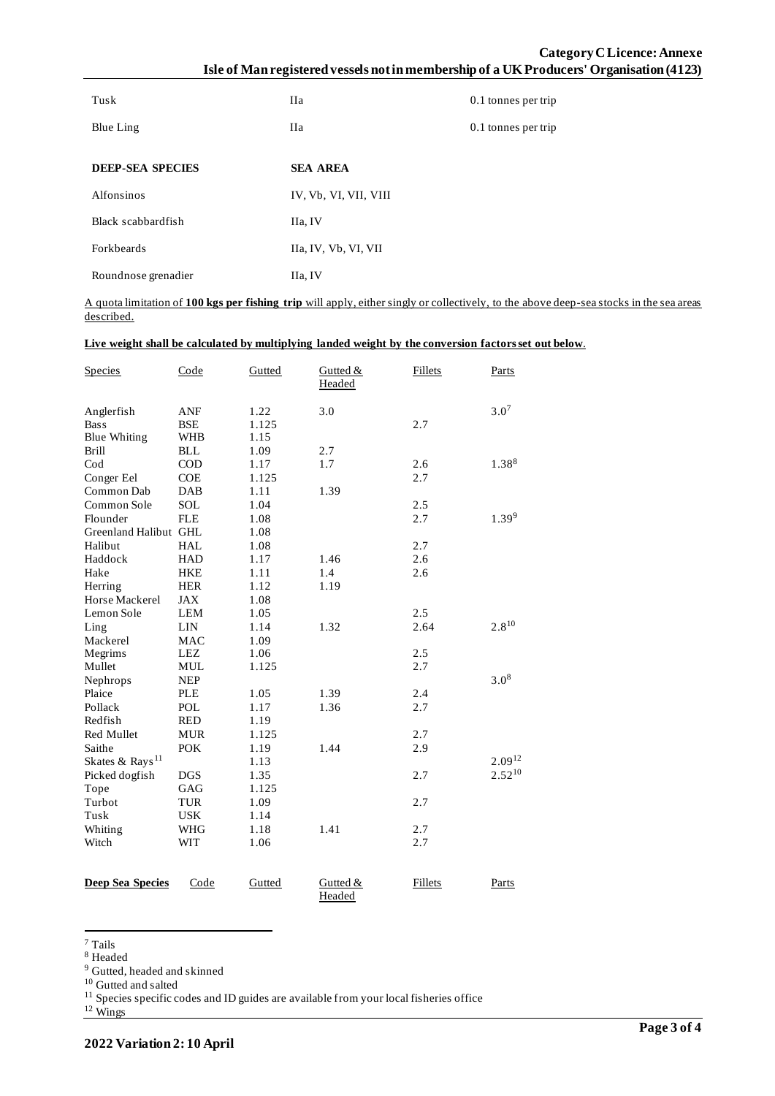# **Category CLicence: Annexe Isle of Man registered vessels not in membership of a UK Producers' Organisation (4123)**

| Tusk                    | <b>IIa</b>            | 0.1 tonnes per trip |
|-------------------------|-----------------------|---------------------|
| Blue Ling               | <b>IIa</b>            | 0.1 tonnes per trip |
|                         |                       |                     |
| <b>DEEP-SEA SPECIES</b> | <b>SEA AREA</b>       |                     |
| Alfonsinos              | IV, Vb, VI, VII, VIII |                     |
| Black scabbardfish      | IIa, IV               |                     |
| Forkbeards              | IIa, IV, Vb, VI, VII  |                     |
| Roundnose grenadier     | IIa, IV               |                     |

A quota limitation of **100 kgs per fishing trip** will apply, either singly or collectively, to the above deep-sea stocks in the sea areas described.

### **Live weight shall be calculated by multiplying landed weight by the conversion factors set out below**.

| <b>Species</b>              | Code       | Gutted | Gutted &<br>Headed | <b>Fillets</b> | Parts            |
|-----------------------------|------------|--------|--------------------|----------------|------------------|
| Anglerfish                  | ANF        | 1.22   | 3.0                |                | 3.0 <sup>7</sup> |
| <b>Bass</b>                 | <b>BSE</b> | 1.125  |                    | 2.7            |                  |
| <b>Blue Whiting</b>         | <b>WHB</b> | 1.15   |                    |                |                  |
| <b>Brill</b>                | <b>BLL</b> | 1.09   | 2.7                |                |                  |
| C <sub>od</sub>             | <b>COD</b> | 1.17   | 1.7                | 2.6            | 1.388            |
| Conger Eel                  | COE        | 1.125  |                    | 2.7            |                  |
| Common Dab                  | DAB        | 1.11   | 1.39               |                |                  |
| Common Sole                 | <b>SOL</b> | 1.04   |                    | 2.5            |                  |
| Flounder                    | <b>FLE</b> | 1.08   |                    | 2.7            | 1.399            |
| Greenland Halibut GHL       |            | 1.08   |                    |                |                  |
| Halibut                     | <b>HAL</b> | 1.08   |                    | 2.7            |                  |
| Haddock                     | <b>HAD</b> | 1.17   | 1.46               | 2.6            |                  |
| Hake                        | <b>HKE</b> | 1.11   | 1.4                | 2.6            |                  |
| Herring                     | <b>HER</b> | 1.12   | 1.19               |                |                  |
| Horse Mackerel              | <b>JAX</b> | 1.08   |                    |                |                  |
| Lemon Sole                  | <b>LEM</b> | 1.05   |                    | 2.5            |                  |
| Ling                        | <b>LIN</b> | 1.14   | 1.32               | 2.64           | $2.8^{10}$       |
| Mackerel                    | <b>MAC</b> | 1.09   |                    |                |                  |
| Megrims                     | <b>LEZ</b> | 1.06   |                    | 2.5            |                  |
| Mullet                      | MUL        | 1.125  |                    | 2.7            |                  |
| Nephrops                    | <b>NEP</b> |        |                    |                | $3.0^{8}$        |
| Plaice                      | <b>PLE</b> | 1.05   | 1.39               | 2.4            |                  |
| Pollack                     | POL        | 1.17   | 1.36               | 2.7            |                  |
| Redfish                     | <b>RED</b> | 1.19   |                    |                |                  |
| Red Mullet                  | <b>MUR</b> | 1.125  |                    | 2.7            |                  |
| Saithe                      | <b>POK</b> | 1.19   | 1.44               | 2.9            |                  |
| Skates & Rays <sup>11</sup> |            | 1.13   |                    |                | $2.09^{12}$      |
| Picked dogfish              | <b>DGS</b> | 1.35   |                    | 2.7            | $2.52^{10}$      |
| Tope                        | GAG        | 1.125  |                    |                |                  |
| Turbot                      | <b>TUR</b> | 1.09   |                    | 2.7            |                  |
| Tusk                        | <b>USK</b> | 1.14   |                    |                |                  |
| Whiting                     | WHG        | 1.18   | 1.41               | 2.7            |                  |
| Witch                       | <b>WIT</b> | 1.06   |                    | 2.7            |                  |
| <b>Deep Sea Species</b>     | Code       | Gutted | Gutted &<br>Headed | <b>Fillets</b> | Parts            |

<sup>7</sup> Tails

<sup>8</sup> Headed

<sup>&</sup>lt;sup>9</sup> Gutted, headed and skinned

<sup>10</sup> Gutted and salted

 $11$  Species specific codes and ID guides are available from your local fisheries office

 $12 \frac{\text{F}}{\text{Wings}}$